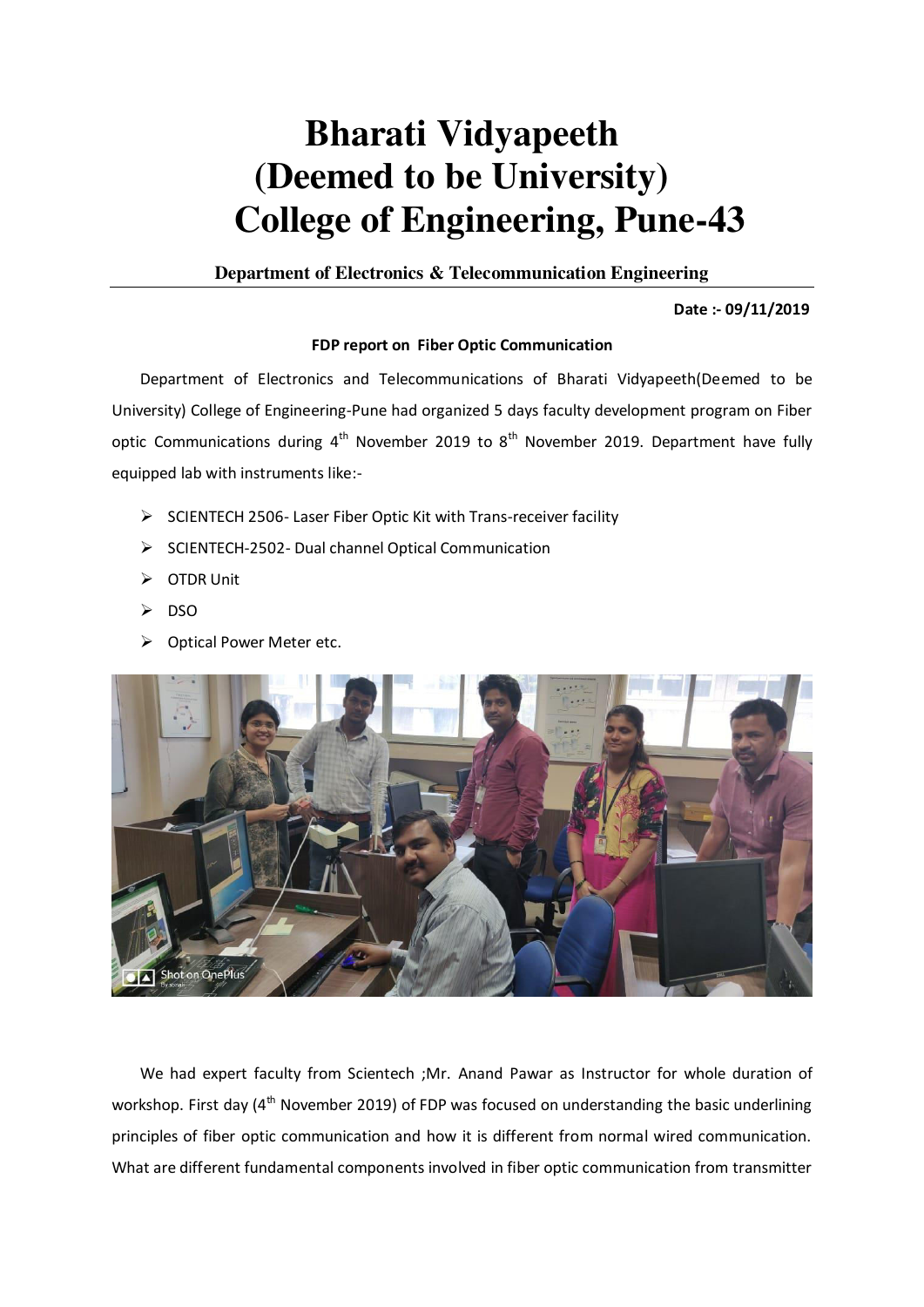## **Bharati Vidyapeeth (Deemed to be University) College of Engineering, Pune-43**

## **Department of Electronics & Telecommunication Engineering**

 **Date :- 09/11/2019** 

## **FDP report on Fiber Optic Communication**

Department of Electronics and Telecommunications of Bharati Vidyapeeth(Deemed to be University) College of Engineering-Pune had organized 5 days faculty development program on Fiber optic Communications during  $4<sup>th</sup>$  November 2019 to  $8<sup>th</sup>$  November 2019. Department have fully equipped lab with instruments like:-

- $\triangleright$  SCIENTECH 2506- Laser Fiber Optic Kit with Trans-receiver facility
- SCIENTECH-2502- Dual channel Optical Communication
- OTDR Unit
- DSO
- Optical Power Meter etc.



We had expert faculty from Scientech ;Mr. Anand Pawar as Instructor for whole duration of workshop. First day (4<sup>th</sup> November 2019) of FDP was focused on understanding the basic underlining principles of fiber optic communication and how it is different from normal wired communication. What are different fundamental components involved in fiber optic communication from transmitter